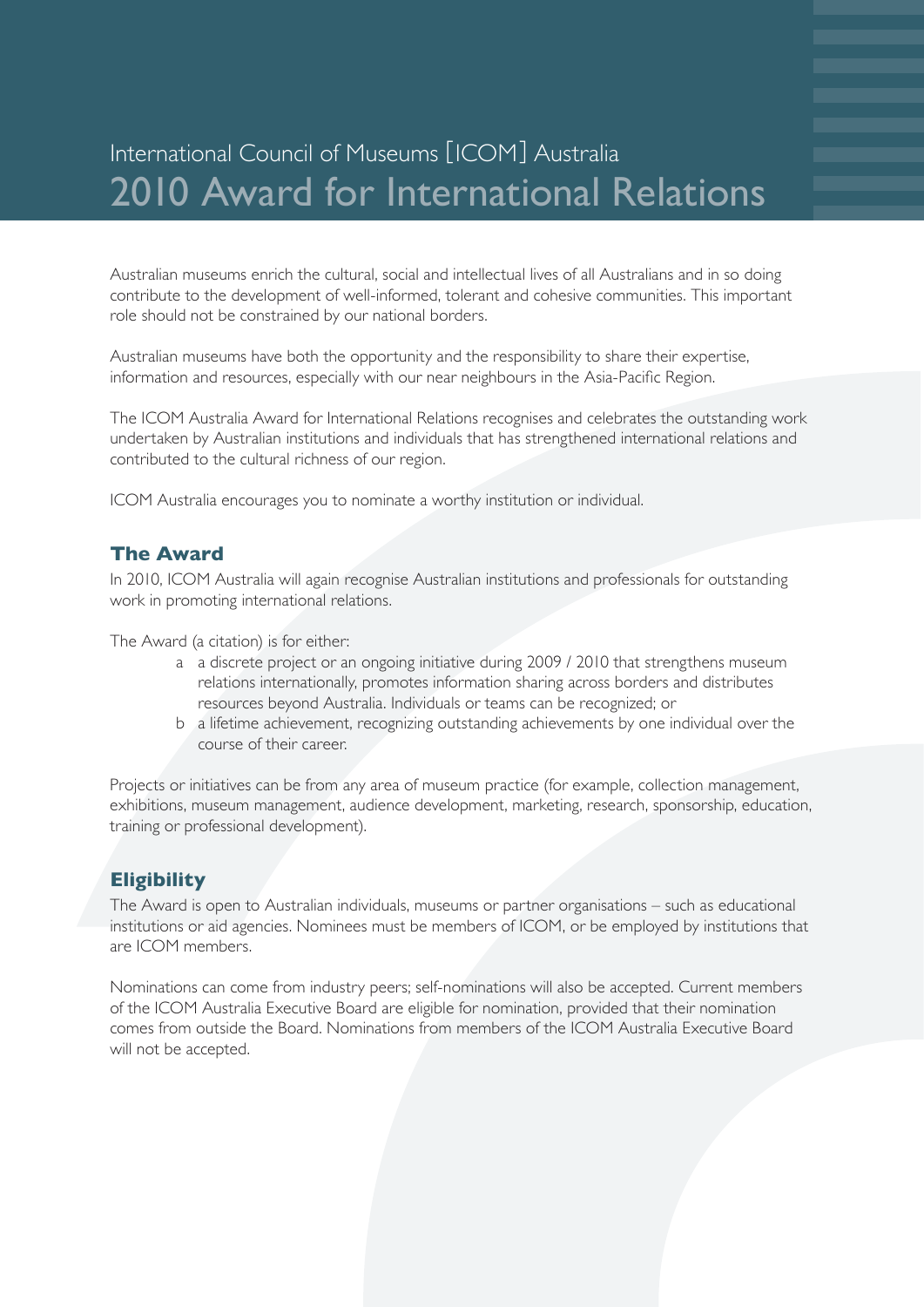# International Council of Museums [ICOM] Australia 2010 Award for International Relations

Australian museums enrich the cultural, social and intellectual lives of all Australians and in so doing contribute to the development of well-informed, tolerant and cohesive communities. This important role should not be constrained by our national borders.

Australian museums have both the opportunity and the responsibility to share their expertise, information and resources, especially with our near neighbours in the Asia-Pacific Region.

The ICOM Australia Award for International Relations recognises and celebrates the outstanding work undertaken by Australian institutions and individuals that has strengthened international relations and contributed to the cultural richness of our region.

ICOM Australia encourages you to nominate a worthy institution or individual.

#### **The Award**

In 2010, ICOM Australia will again recognise Australian institutions and professionals for outstanding work in promoting international relations.

The Award (a citation) is for either:

- a a discrete project or an ongoing initiative during 2009 / 2010 that strengthens museum relations internationally, promotes information sharing across borders and distributes resources beyond Australia. Individuals or teams can be recognized; or
- b a lifetime achievement, recognizing outstanding achievements by one individual over the course of their career.

Projects or initiatives can be from any area of museum practice (for example, collection management, exhibitions, museum management, audience development, marketing, research, sponsorship, education, training or professional development).

#### **Eligibility**

The Award is open to Australian individuals, museums or partner organisations – such as educational institutions or aid agencies. Nominees must be members of ICOM, or be employed by institutions that are ICOM members.

Nominations can come from industry peers; self-nominations will also be accepted. Current members of the ICOM Australia Executive Board are eligible for nomination, provided that their nomination comes from outside the Board. Nominations from members of the ICOM Australia Executive Board will not be accepted.